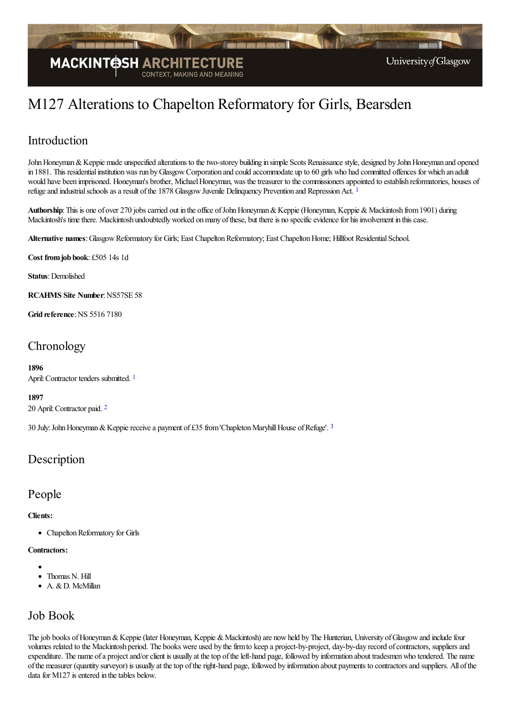

# M127 Alterations to Chapelton Reformatory for Girls, Bearsden

### Introduction

John Honeyman & Keppie made unspecified alterations to the two-storey building in simple Scots Renaissance style, designed by John Honeyman and opened in 1881. This residential institution was run by Glasgow Corporation and could accommodate up to 60 girls who had committed offences for which an adult would have been imprisoned. Honeyman's brother, Michael Honeyman, was the treasurer to the commissioners appointed to establish reformatories, houses of refuge and industrial schools as a result of the [1](#page-2-0)878 Glasgow Juvenile Delinquency Prevention and Repression Act.<sup>1</sup>

<span id="page-0-0"></span>Authorship: This is one of over 270 jobs carried out in the office of John Honeyman & Keppie (Honeyman, Keppie & Mackintosh from 1901) during Mackintosh's time there. Mackintosh undoubtedly worked on many of these, but there is no specific evidence for his involvement in this case.

**Alternative names**:GlasgowReformatory for Girls; East ChapeltonReformatory; East ChapeltonHome; Hillfoot ResidentialSchool.

**Cost fromjob book**: £505 14s 1d

**Status**: Demolished

**RCAHMS Site Number**:NS57SE 58

**Grid reference**:NS 5516 7180

# **Chronology**

<span id="page-0-1"></span>**1896** April: Contractor tenders submitted.<sup>[1](#page-2-1)</sup>

**1897**

<span id="page-0-2"></span>20 April:Contractor paid. [2](#page-2-2)

<span id="page-0-3"></span>[3](#page-2-3)0 July: John Honeyman & Keppie receive a payment of £35 from 'Chapleton Maryhill House of Refuge'. <sup>3</sup>

### **Description**

### People

#### **Clients:**

• Chapelton Reformatory for Girls

#### **Contractors:**

- 
- Thomas N. Hill A. & D. McMillan
- 

## Job Book

The job books of Honeyman & Keppie (later Honeyman, Keppie & Mackintosh) are now held by The Hunterian, University of Glasgow and include four volumes related to the Mackintosh period. The books were used by the firm to keep a project-by-project, day-by-day record of contractors, suppliers and expenditure. The name of a project and/or client is usually at the top of the left-hand page, followed by information about tradesmen who tendered. The name ofthe measurer (quantity surveyor) is usually at thetop oftheright-hand page, followed by information about payments to contractorsand suppliers. All ofthe data for  $M127$  is entered in the tables below.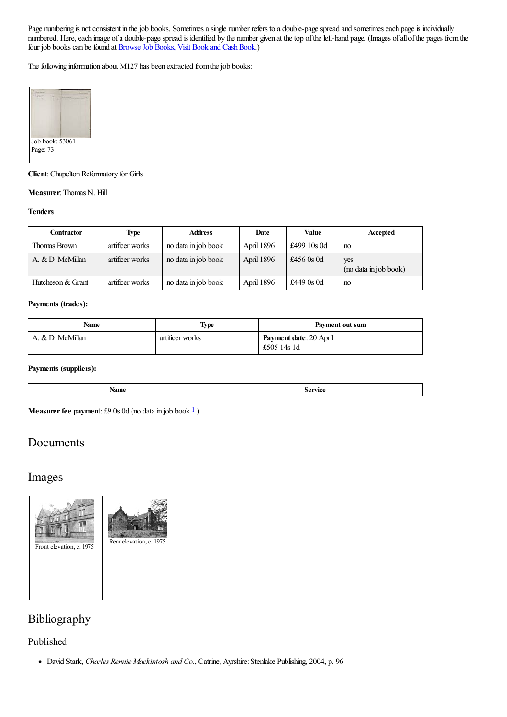Page numbering is not consistent in the job books. Sometimes a single number refers to a double-page spread and sometimes each page is individually numbered. Here, each image of a double-page spread is identified by the number given at the top of the left-hand page. (Images of all of the pages from the four job books can be found at **Browse Job Books**, Visit Book and Cash Book.)

The following information about M127 has been extracted from the job books:



**Client**: Chapelton Reformatory for Girls

#### **Measurer:** Thomas N. Hill

#### **Tenders**:

| Contractor        | <b>Type</b>     | <b>Address</b>      | Date       | Value        | Accepted                     |
|-------------------|-----------------|---------------------|------------|--------------|------------------------------|
| Thomas Brown      | artificer works | no data in job book | April 1896 | £499 10s 0d  | no                           |
| A. & D. McMillan  | artificer works | no data in job book | April 1896 | £456 $0s$ 0d | yes<br>(no data in job book) |
| Hutcheson & Grant | artificer works | no data in job book | April 1896 | £449 0s 0d   | no                           |

#### **Payments (trades):**

| Name             | Type            | Payment out sum                              |
|------------------|-----------------|----------------------------------------------|
| A. & D. McMillan | artificer works | <b>Payment date: 20 April</b><br>£505 14s 1d |

#### **Payments (suppliers):**

<span id="page-1-0"></span>

| . VALUE<br>$\sim$ weaked |  |
|--------------------------|--|
|                          |  |

**Measurer fee payment**: £9 0s 0d (no data in job book <sup>[1](#page-2-4)</sup>)

### Documents

### Images



### Bibliography

#### Published

David Stark, *Charles Rennie Mackintosh and Co.*, Catrine, Ayrshire:Stenlake Publishing, 2004, p. 96